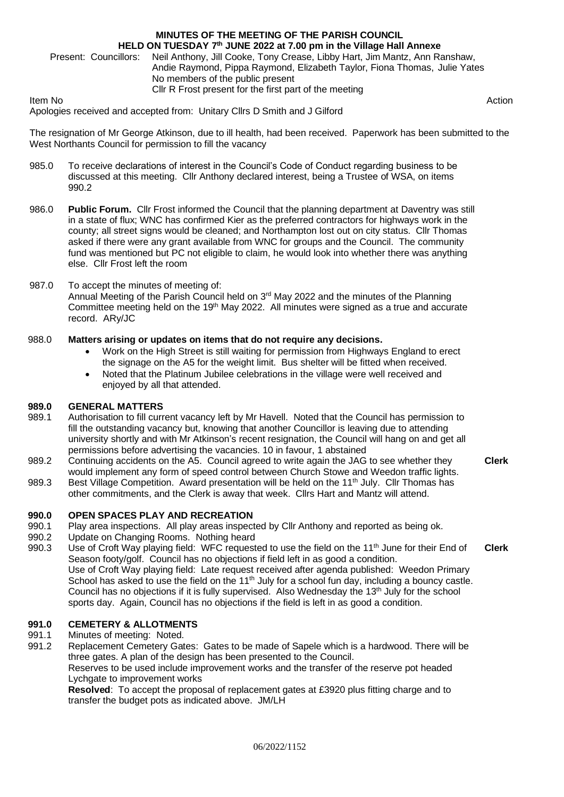# **MINUTES OF THE MEETING OF THE PARISH COUNCIL HELD ON TUESDAY 7 th JUNE 2022 at 7.00 pm in the Village Hall Annexe**

Present: Councillors: Neil Anthony, Jill Cooke, Tony Crease, Libby Hart, Jim Mantz, Ann Ranshaw, Andie Raymond, Pippa Raymond, Elizabeth Taylor, Fiona Thomas, Julie Yates No members of the public present Cllr R Frost present for the first part of the meeting

Item No Action Apologies received and accepted from: Unitary Cllrs D Smith and J Gilford

The resignation of Mr George Atkinson, due to ill health, had been received. Paperwork has been submitted to the West Northants Council for permission to fill the vacancy

- 985.0 To receive declarations of interest in the Council's Code of Conduct regarding business to be discussed at this meeting. Cllr Anthony declared interest, being a Trustee of WSA, on items 990.2
- 986.0 **Public Forum.** Cllr Frost informed the Council that the planning department at Daventry was still in a state of flux; WNC has confirmed Kier as the preferred contractors for highways work in the county; all street signs would be cleaned; and Northampton lost out on city status. Cllr Thomas asked if there were any grant available from WNC for groups and the Council. The community fund was mentioned but PC not eligible to claim, he would look into whether there was anything else. Cllr Frost left the room

# 987.0 To accept the minutes of meeting of:

Annual Meeting of the Parish Council held on  $3<sup>rd</sup>$  May 2022 and the minutes of the Planning Committee meeting held on the 19th May 2022. All minutes were signed as a true and accurate record. ARy/JC

#### 988.0 **Matters arising or updates on items that do not require any decisions.**

- Work on the High Street is still waiting for permission from Highways England to erect the signage on the A5 for the weight limit. Bus shelter will be fitted when received.
- Noted that the Platinum Jubilee celebrations in the village were well received and enjoyed by all that attended.

#### **989.0 GENERAL MATTERS**

- 989.1 Authorisation to fill current vacancy left by Mr Havell. Noted that the Council has permission to fill the outstanding vacancy but, knowing that another Councillor is leaving due to attending university shortly and with Mr Atkinson's recent resignation, the Council will hang on and get all permissions before advertising the vacancies. 10 in favour, 1 abstained
- 989.2 Continuing accidents on the A5. Council agreed to write again the JAG to see whether they would implement any form of speed control between Church Stowe and Weedon traffic lights.
- 989.3 Best Village Competition. Award presentation will be held on the 11<sup>th</sup> July. Cllr Thomas has other commitments, and the Clerk is away that week. Cllrs Hart and Mantz will attend.

#### **990.0 OPEN SPACES PLAY AND RECREATION**

- 990.1 Play area inspections. All play areas inspected by Cllr Anthony and reported as being ok.
- 990.2 Update on Changing Rooms. Nothing heard
- 990.3 Use of Croft Way playing field: WFC requested to use the field on the 11<sup>th</sup> June for their End of Season footy/golf. Council has no objections if field left in as good a condition. Use of Croft Way playing field: Late request received after agenda published: Weedon Primary School has asked to use the field on the 11<sup>th</sup> July for a school fun day, including a bouncy castle. Council has no objections if it is fully supervised. Also Wednesday the 13<sup>th</sup> July for the school sports day. Again, Council has no objections if the field is left in as good a condition. **Clerk**

#### **991.0 CEMETERY & ALLOTMENTS**

- 991.1 Minutes of meeting: Noted.
- 991.2 Replacement Cemetery Gates: Gates to be made of Sapele which is a hardwood. There will be three gates. A plan of the design has been presented to the Council. Reserves to be used include improvement works and the transfer of the reserve pot headed Lychgate to improvement works

**Resolved**: To accept the proposal of replacement gates at £3920 plus fitting charge and to transfer the budget pots as indicated above. JM/LH

**Clerk**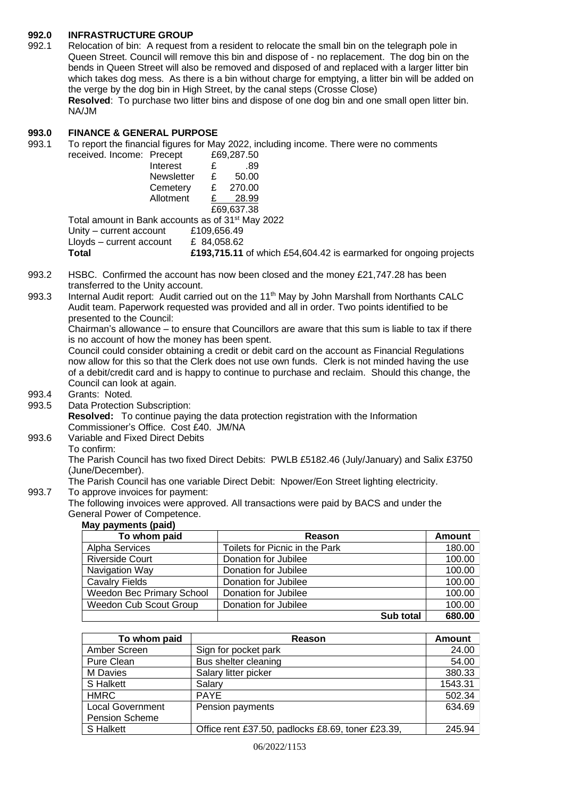### **992.0 INFRASTRUCTURE GROUP**

992.1 Relocation of bin: A request from a resident to relocate the small bin on the telegraph pole in Queen Street. Council will remove this bin and dispose of - no replacement. The dog bin on the bends in Queen Street will also be removed and disposed of and replaced with a larger litter bin which takes dog mess. As there is a bin without charge for emptying, a litter bin will be added on the verge by the dog bin in High Street, by the canal steps (Crosse Close) **Resolved**: To purchase two litter bins and dispose of one dog bin and one small open litter bin. NA/JM

### **993.0 FINANCE & GENERAL PURPOSE**

993.1 To report the financial figures for May 2022, including income. There were no comments received. I

| ncome: Precept    |   | £69,287.50                                           |  |
|-------------------|---|------------------------------------------------------|--|
| Interest          | £ | .89                                                  |  |
| <b>Newsletter</b> | E | 50.00                                                |  |
| Cemetery          | £ | 270.00                                               |  |
| Allotment         |   | 28.99                                                |  |
|                   |   | £69,637,38                                           |  |
|                   |   | unt in Bank accounts as of 31 <sup>st</sup> May 2022 |  |

Total amou Unity – current account £109,656.49 Lloyds – current account  $£ 84,058.62$ **Total £193,715.11** of which £54,604.42 is earmarked for ongoing projects

- 993.2 HSBC. Confirmed the account has now been closed and the money £21,747.28 has been transferred to the Unity account.
- 993.3 Internal Audit report: Audit carried out on the 11<sup>th</sup> May by John Marshall from Northants CALC Audit team. Paperwork requested was provided and all in order. Two points identified to be presented to the Council:

Chairman's allowance – to ensure that Councillors are aware that this sum is liable to tax if there is no account of how the money has been spent.

Council could consider obtaining a credit or debit card on the account as Financial Regulations now allow for this so that the Clerk does not use own funds. Clerk is not minded having the use of a debit/credit card and is happy to continue to purchase and reclaim. Should this change, the Council can look at again.

- 
- 993.4 Grants: Noted.<br>993.5 Data Protection Data Protection Subscription:

**Resolved:** To continue paying the data protection registration with the Information Commissioner's Office. Cost £40. JM/NA

993.6 Variable and Fixed Direct Debits To confirm:

The Parish Council has two fixed Direct Debits: PWLB £5182.46 (July/January) and Salix £3750 (June/December).

The Parish Council has one variable Direct Debit: Npower/Eon Street lighting electricity. 993.7 To approve invoices for payment:

The following invoices were approved. All transactions were paid by BACS and under the General Power of Competence.

### **May payments (paid)**

| To whom paid                     | Reason                         | <b>Amount</b> |
|----------------------------------|--------------------------------|---------------|
| Alpha Services                   | Toilets for Picnic in the Park | 180.00        |
| <b>Riverside Court</b>           | Donation for Jubilee           | 100.00        |
| Navigation Way                   | Donation for Jubilee           | 100.00        |
| <b>Cavalry Fields</b>            | Donation for Jubilee           | 100.00        |
| <b>Weedon Bec Primary School</b> | Donation for Jubilee           | 100.00        |
| Weedon Cub Scout Group           | Donation for Jubilee           | 100.00        |
|                                  | Sub total                      | 680.00        |

| To whom paid            | Reason                                            | <b>Amount</b> |
|-------------------------|---------------------------------------------------|---------------|
| Amber Screen            | Sign for pocket park                              | 24.00         |
| Pure Clean              | Bus shelter cleaning                              | 54.00         |
| M Davies                | Salary litter picker                              | 380.33        |
| S Halkett               | Salary                                            | 1543.31       |
| <b>HMRC</b>             | <b>PAYE</b>                                       | 502.34        |
| <b>Local Government</b> | Pension payments                                  | 634.69        |
| <b>Pension Scheme</b>   |                                                   |               |
| S Halkett               | Office rent £37.50, padlocks £8.69, toner £23.39, | 245.94        |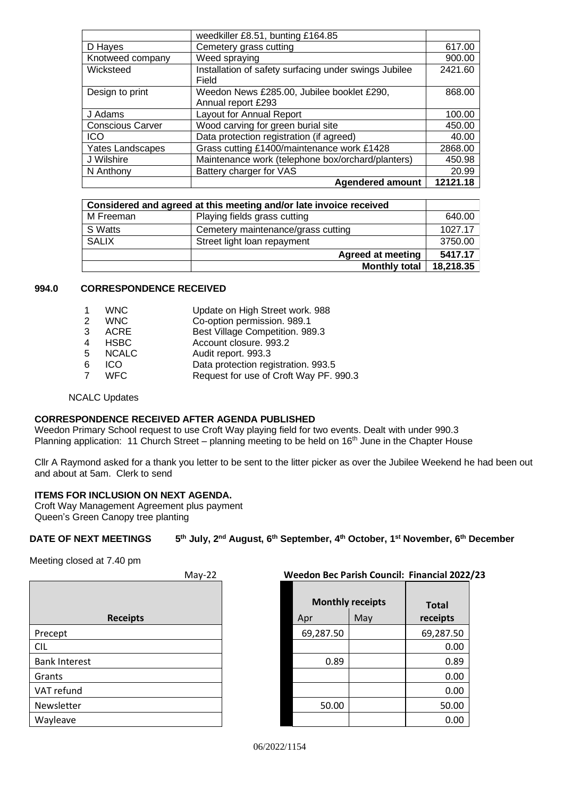|                         | weedkiller £8.51, bunting £164.85                              |          |
|-------------------------|----------------------------------------------------------------|----------|
| D Hayes                 | Cemetery grass cutting                                         | 617.00   |
| Knotweed company        | Weed spraying                                                  | 900.00   |
| Wicksteed               | Installation of safety surfacing under swings Jubilee<br>Field | 2421.60  |
| Design to print         | Weedon News £285.00, Jubilee booklet £290,                     | 868.00   |
|                         | Annual report £293                                             |          |
| J Adams                 | Layout for Annual Report                                       | 100.00   |
| <b>Conscious Carver</b> | Wood carving for green burial site                             | 450.00   |
| <b>ICO</b>              | Data protection registration (if agreed)                       | 40.00    |
| <b>Yates Landscapes</b> | Grass cutting £1400/maintenance work £1428                     | 2868.00  |
| J Wilshire              | Maintenance work (telephone box/orchard/planters)              | 450.98   |
| N Anthony               | Battery charger for VAS                                        | 20.99    |
|                         | <b>Agendered amount</b>                                        | 12121.18 |

|              | Considered and agreed at this meeting and/or late invoice received |           |
|--------------|--------------------------------------------------------------------|-----------|
| M Freeman    | Playing fields grass cutting                                       | 640.00    |
| S Watts      | Cemetery maintenance/grass cutting                                 | 1027.17   |
| <b>SALIX</b> | Street light loan repayment                                        | 3750.00   |
|              | <b>Agreed at meeting</b>                                           | 5417.17   |
|              | <b>Monthly total</b>                                               | 18,218.35 |

## **994.0 CORRESPONDENCE RECEIVED**

|               | <b>WNC</b>   | Update on High Street work. 988        |
|---------------|--------------|----------------------------------------|
| $\mathcal{P}$ | <b>WNC</b>   | Co-option permission. 989.1            |
| 3             | <b>ACRE</b>  | Best Village Competition. 989.3        |
| 4             | <b>HSBC</b>  | Account closure. 993.2                 |
| -5            | <b>NCALC</b> | Audit report. 993.3                    |
| 6             | ICO          | Data protection registration. 993.5    |
| 7             | <b>WFC</b>   | Request for use of Croft Way PF. 990.3 |
|               |              |                                        |

NCALC Updates

#### **CORRESPONDENCE RECEIVED AFTER AGENDA PUBLISHED**

Weedon Primary School request to use Croft Way playing field for two events. Dealt with under 990.3 Planning application: 11 Church Street – planning meeting to be held on 16<sup>th</sup> June in the Chapter House

Cllr A Raymond asked for a thank you letter to be sent to the litter picker as over the Jubilee Weekend he had been out and about at 5am. Clerk to send

#### **ITEMS FOR INCLUSION ON NEXT AGENDA.**

Croft Way Management Agreement plus payment Queen's Green Canopy tree planting

#### **DATE OF NEXT MEETINGS 5 th July, 2 nd August, 6th September, 4th October, 1st November, 6th December**

Meeting closed at 7.40 pm

| iviay-22             | <u>Weedon bec Pansh Council. Financial 202</u> |                                |                          |
|----------------------|------------------------------------------------|--------------------------------|--------------------------|
| <b>Receipts</b>      | Apr                                            | <b>Monthly receipts</b><br>May | <b>Total</b><br>receipts |
| Precept              | 69,287.50                                      |                                | 69,287.50                |
| <b>CIL</b>           |                                                |                                | 0.00                     |
| <b>Bank Interest</b> | 0.89                                           |                                | 0.89                     |
| Grants               |                                                |                                | 0.00                     |
| VAT refund           |                                                |                                | 0.00                     |
| Newsletter           | 50.00                                          |                                | 50.00                    |
| Wayleave             |                                                |                                | 0.00                     |
|                      |                                                |                                |                          |

| $May-22$ | <b>Weedon Bec Parish Council: Financial 2022/23</b> |  |
|----------|-----------------------------------------------------|--|
|          |                                                     |  |

| <b>Monthly receipts</b> |     | <b>Total</b> |
|-------------------------|-----|--------------|
| Apr                     | May | receipts     |
| 69,287.50               |     | 69,287.50    |
|                         |     | 0.00         |
| 0.89                    |     | 0.89         |
|                         |     | 0.00         |
|                         |     | 0.00         |
| 50.00                   |     | 50.00        |
|                         |     | 0.00         |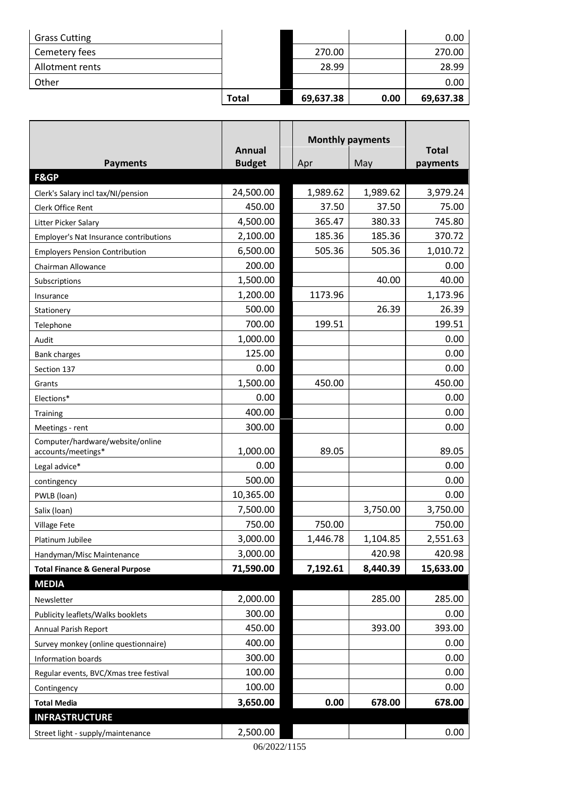| <b>Grass Cutting</b> |              |           |      | 0.00      |
|----------------------|--------------|-----------|------|-----------|
| Cemetery fees        |              | 270.00    |      | 270.00    |
| Allotment rents      |              | 28.99     |      | 28.99     |
| Other                |              |           |      | 0.00      |
|                      | <b>Total</b> | 69,637.38 | 0.00 | 69,637.38 |

|                                                            |                                | <b>Monthly payments</b> |          |              |
|------------------------------------------------------------|--------------------------------|-------------------------|----------|--------------|
|                                                            | <b>Annual</b><br><b>Budget</b> |                         | May      | <b>Total</b> |
| <b>Payments</b><br>F&GP                                    |                                | Apr                     |          | payments     |
| Clerk's Salary incl tax/NI/pension                         | 24,500.00                      | 1,989.62                | 1,989.62 | 3,979.24     |
| Clerk Office Rent                                          | 450.00                         | 37.50                   | 37.50    | 75.00        |
| Litter Picker Salary                                       | 4,500.00                       | 365.47                  | 380.33   | 745.80       |
| Employer's Nat Insurance contributions                     | 2,100.00                       | 185.36                  | 185.36   | 370.72       |
| <b>Employers Pension Contribution</b>                      | 6,500.00                       | 505.36                  | 505.36   | 1,010.72     |
| Chairman Allowance                                         | 200.00                         |                         |          | 0.00         |
| Subscriptions                                              | 1,500.00                       |                         | 40.00    | 40.00        |
| Insurance                                                  | 1,200.00                       | 1173.96                 |          | 1,173.96     |
| Stationery                                                 | 500.00                         |                         | 26.39    | 26.39        |
| Telephone                                                  | 700.00                         | 199.51                  |          | 199.51       |
| Audit                                                      | 1,000.00                       |                         |          | 0.00         |
| <b>Bank charges</b>                                        | 125.00                         |                         |          | 0.00         |
| Section 137                                                | 0.00                           |                         |          | 0.00         |
| Grants                                                     | 1,500.00                       | 450.00                  |          | 450.00       |
| Elections*                                                 | 0.00                           |                         |          | 0.00         |
| <b>Training</b>                                            | 400.00                         |                         |          | 0.00         |
| Meetings - rent                                            | 300.00                         |                         |          | 0.00         |
| Computer/hardware/website/online                           |                                |                         |          |              |
| accounts/meetings*                                         | 1,000.00                       | 89.05                   |          | 89.05        |
| Legal advice*                                              | 0.00                           |                         |          | 0.00         |
| contingency                                                | 500.00                         |                         |          | 0.00         |
| PWLB (loan)                                                | 10,365.00                      |                         |          | 0.00         |
| Salix (loan)                                               | 7,500.00                       |                         | 3,750.00 | 3,750.00     |
| Village Fete                                               | 750.00                         | 750.00                  |          | 750.00       |
| Platinum Jubilee                                           | 3,000.00                       | 1,446.78                | 1,104.85 | 2,551.63     |
| Handyman/Misc Maintenance                                  | 3,000.00                       |                         | 420.98   | 420.98       |
| <b>Total Finance &amp; General Purpose</b>                 | 71,590.00                      | 7,192.61                | 8,440.39 | 15,633.00    |
| <b>MEDIA</b>                                               | 2,000.00                       |                         | 285.00   | 285.00       |
| Newsletter                                                 | 300.00                         |                         |          | 0.00         |
| Publicity leaflets/Walks booklets                          | 450.00                         |                         | 393.00   | 393.00       |
| Annual Parish Report                                       | 400.00                         |                         |          | 0.00         |
| Survey monkey (online questionnaire)<br>Information boards | 300.00                         |                         |          | 0.00         |
|                                                            | 100.00                         |                         |          | 0.00         |
| Regular events, BVC/Xmas tree festival                     | 100.00                         |                         |          | 0.00         |
| Contingency                                                |                                | 0.00                    |          | 678.00       |
| <b>Total Media</b><br><b>INFRASTRUCTURE</b>                | 3,650.00                       |                         | 678.00   |              |
|                                                            |                                |                         |          |              |
| Street light - supply/maintenance                          | 2,500.00                       |                         |          | 0.00         |

06/2022/1155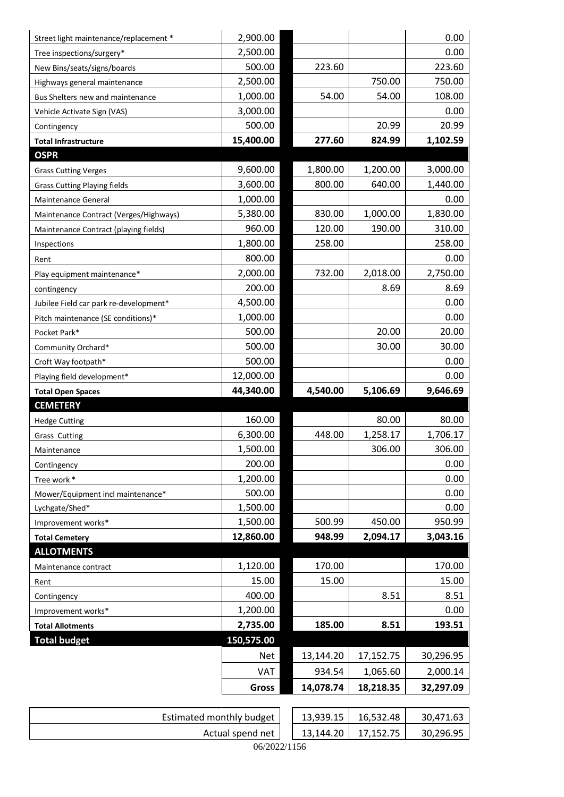| Street light maintenance/replacement * | 2,900.00     |           |                       | 0.00      |
|----------------------------------------|--------------|-----------|-----------------------|-----------|
| Tree inspections/surgery*              | 2,500.00     |           |                       | 0.00      |
| New Bins/seats/signs/boards            | 500.00       | 223.60    |                       | 223.60    |
| Highways general maintenance           | 2,500.00     |           | 750.00                | 750.00    |
| Bus Shelters new and maintenance       | 1,000.00     | 54.00     | 54.00                 | 108.00    |
| Vehicle Activate Sign (VAS)            | 3,000.00     |           |                       | 0.00      |
| Contingency                            | 500.00       |           | 20.99                 | 20.99     |
| <b>Total Infrastructure</b>            | 15,400.00    | 277.60    | 824.99                | 1,102.59  |
| <b>OSPR</b>                            |              |           |                       |           |
| <b>Grass Cutting Verges</b>            | 9,600.00     | 1,800.00  | 1,200.00              | 3,000.00  |
| <b>Grass Cutting Playing fields</b>    | 3,600.00     | 800.00    | 640.00                | 1,440.00  |
| Maintenance General                    | 1,000.00     |           |                       | 0.00      |
| Maintenance Contract (Verges/Highways) | 5,380.00     | 830.00    | 1,000.00              | 1,830.00  |
| Maintenance Contract (playing fields)  | 960.00       | 120.00    | 190.00                | 310.00    |
| Inspections                            | 1,800.00     | 258.00    |                       | 258.00    |
| Rent                                   | 800.00       |           |                       | 0.00      |
| Play equipment maintenance*            | 2,000.00     | 732.00    | 2,018.00              | 2,750.00  |
| contingency                            | 200.00       |           | 8.69                  | 8.69      |
| Jubilee Field car park re-development* | 4,500.00     |           |                       | 0.00      |
| Pitch maintenance (SE conditions)*     | 1,000.00     |           |                       | 0.00      |
| Pocket Park*                           | 500.00       |           | 20.00                 | 20.00     |
| Community Orchard*                     | 500.00       |           | 30.00                 | 30.00     |
| Croft Way footpath*                    | 500.00       |           |                       | 0.00      |
|                                        |              |           |                       | 0.00      |
| Playing field development*             | 12,000.00    |           |                       |           |
| <b>Total Open Spaces</b>               | 44,340.00    | 4,540.00  | 5,106.69              | 9,646.69  |
| <b>CEMETERY</b>                        |              |           |                       |           |
| <b>Hedge Cutting</b>                   | 160.00       |           | 80.00                 | 80.00     |
| <b>Grass Cutting</b>                   | 6,300.00     | 448.00    | 1,258.17              | 1,706.17  |
| Maintenance                            | 1,500.00     |           | 306.00                | 306.00    |
| Contingency                            | 200.00       |           |                       | 0.00      |
| Tree work *                            | 1,200.00     |           |                       | 0.00      |
| Mower/Equipment incl maintenance*      | 500.00       |           |                       | 0.00      |
| Lychgate/Shed*                         | 1,500.00     |           |                       | 0.00      |
| Improvement works*                     | 1,500.00     | 500.99    | 450.00                | 950.99    |
| <b>Total Cemetery</b>                  | 12,860.00    | 948.99    | 2,094.17              | 3,043.16  |
| <b>ALLOTMENTS</b>                      |              |           |                       |           |
| Maintenance contract                   | 1,120.00     | 170.00    |                       | 170.00    |
| Rent                                   | 15.00        | 15.00     |                       | 15.00     |
| Contingency                            | 400.00       |           | 8.51                  | 8.51      |
| Improvement works*                     | 1,200.00     |           |                       | 0.00      |
| <b>Total Allotments</b>                | 2,735.00     | 185.00    | 8.51                  | 193.51    |
| <b>Total budget</b>                    | 150,575.00   |           |                       |           |
|                                        | <b>Net</b>   | 13,144.20 | 17,152.75             | 30,296.95 |
|                                        | VAT          | 934.54    | 1,065.60              | 2,000.14  |
|                                        | <b>Gross</b> | 14,078.74 | 18,218.35             | 32,297.09 |
|                                        |              |           | $13.03015$ $16.53218$ |           |

| Estimated monthly budget |  | 13,939.15 | 16,532.48 | 30,471.63 |  |
|--------------------------|--|-----------|-----------|-----------|--|
| Actual spend net         |  | 13,144.20 | 17.152.75 | 30,296.95 |  |
| 06/2022/1156             |  |           |           |           |  |